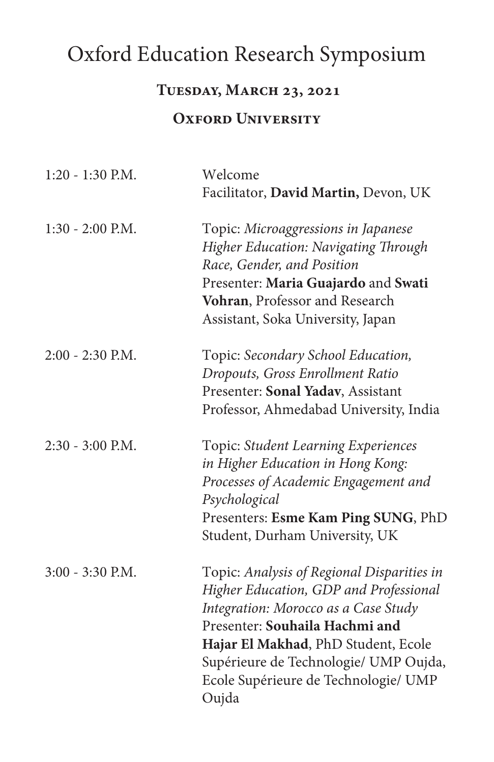# Oxford Education Research Symposium

#### **Tuesday, March 23, 2021**

#### **OXFORD UNIVERSITY**

| $1:20 - 1:30$ P.M. | Welcome<br>Facilitator, David Martin, Devon, UK                                                                                                                                                                                                                                                 |
|--------------------|-------------------------------------------------------------------------------------------------------------------------------------------------------------------------------------------------------------------------------------------------------------------------------------------------|
| $1:30 - 2:00$ P.M. | Topic: Microaggressions in Japanese<br>Higher Education: Navigating Through<br>Race, Gender, and Position<br>Presenter: Maria Guajardo and Swati<br>Vohran, Professor and Research<br>Assistant, Soka University, Japan                                                                         |
| $2:00 - 2:30$ P.M. | Topic: Secondary School Education,<br>Dropouts, Gross Enrollment Ratio<br>Presenter: Sonal Yadav, Assistant<br>Professor, Ahmedabad University, India                                                                                                                                           |
| 2:30 - 3:00 P.M.   | Topic: Student Learning Experiences<br>in Higher Education in Hong Kong:<br>Processes of Academic Engagement and<br>Psychological<br>Presenters: Esme Kam Ping SUNG, PhD<br>Student, Durham University, UK                                                                                      |
| 3:00 - 3:30 P.M.   | Topic: Analysis of Regional Disparities in<br>Higher Education, GDP and Professional<br>Integration: Morocco as a Case Study<br>Presenter: Souhaila Hachmi and<br>Hajar El Makhad, PhD Student, Ecole<br>Supérieure de Technologie/ UMP Oujda,<br>Ecole Supérieure de Technologie/ UMP<br>Oujda |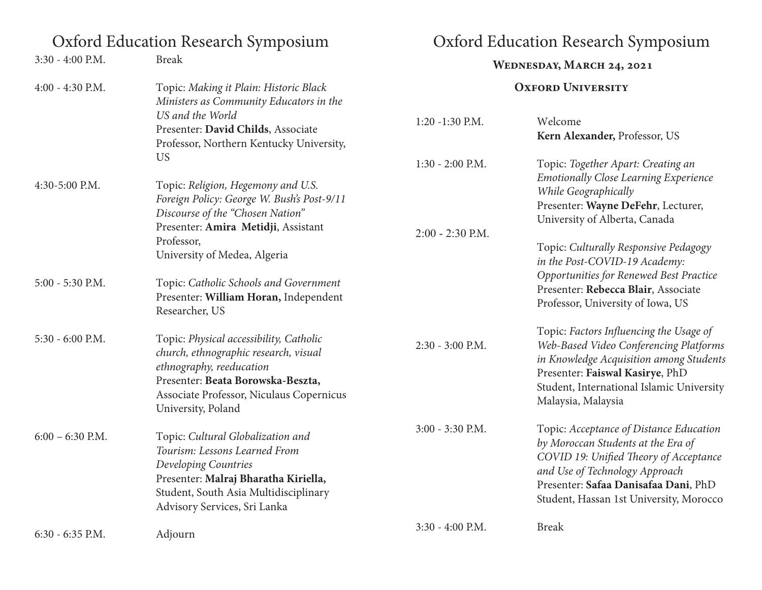# Oxford Education Research Symposium Oxford Education Research Symposium

| 3:30 - 4:00 P.M.   | <b>Break</b>                                                                                                                                                                                                           | WEDNESDAY, MARCH 24, 2021<br><b>OXFORD UNIVERSITY</b> |                                                                                                                                                                                                                                                             |
|--------------------|------------------------------------------------------------------------------------------------------------------------------------------------------------------------------------------------------------------------|-------------------------------------------------------|-------------------------------------------------------------------------------------------------------------------------------------------------------------------------------------------------------------------------------------------------------------|
| 4:00 - 4:30 P.M.   | Topic: Making it Plain: Historic Black<br>Ministers as Community Educators in the                                                                                                                                      |                                                       |                                                                                                                                                                                                                                                             |
|                    | US and the World<br>Presenter: David Childs, Associate<br>Professor, Northern Kentucky University,                                                                                                                     | $1:20 - 1:30$ P.M.                                    | Welcome<br>Kern Alexander, Professor, US                                                                                                                                                                                                                    |
| 4:30-5:00 P.M.     | <b>US</b><br>Topic: Religion, Hegemony and U.S.<br>Foreign Policy: George W. Bush's Post-9/11<br>Discourse of the "Chosen Nation"<br>Presenter: Amira Metidji, Assistant<br>Professor,<br>University of Medea, Algeria | $1:30 - 2:00$ P.M.<br>$2:00 - 2:30$ P.M.              | Topic: Together Apart: Creating an<br><b>Emotionally Close Learning Experience</b><br>While Geographically<br>Presenter: Wayne DeFehr, Lecturer,<br>University of Alberta, Canada<br>Topic: Culturally Responsive Pedagogy<br>in the Post-COVID-19 Academy: |
| 5:00 - 5:30 P.M.   | Topic: Catholic Schools and Government<br>Presenter: William Horan, Independent<br>Researcher, US                                                                                                                      |                                                       | Opportunities for Renewed Best Practice<br>Presenter: Rebecca Blair, Associate<br>Professor, University of Iowa, US                                                                                                                                         |
| 5:30 - 6:00 P.M.   | Topic: Physical accessibility, Catholic<br>church, ethnographic research, visual<br>ethnography, reeducation<br>Presenter: Beata Borowska-Beszta,<br>Associate Professor, Niculaus Copernicus<br>University, Poland    | 2:30 - 3:00 P.M.                                      | Topic: Factors Influencing the Usage of<br>Web-Based Video Conferencing Platforms<br>in Knowledge Acquisition among Students<br>Presenter: Faiswal Kasirye, PhD<br>Student, International Islamic University<br>Malaysia, Malaysia                          |
| $6:00 - 6:30$ P.M. | Topic: Cultural Globalization and<br>Tourism: Lessons Learned From<br>Developing Countries<br>Presenter: Malraj Bharatha Kiriella,<br>Student, South Asia Multidisciplinary<br>Advisory Services, Sri Lanka            | 3:00 - 3:30 P.M.                                      | Topic: Acceptance of Distance Education<br>by Moroccan Students at the Era of<br>COVID 19: Unified Theory of Acceptance<br>and Use of Technology Approach<br>Presenter: Safaa Danisafaa Dani, PhD<br>Student, Hassan 1st University, Morocco                |
| 6:30 - 6:35 P.M.   | Adjourn                                                                                                                                                                                                                | 3:30 - 4:00 P.M.                                      | <b>Break</b>                                                                                                                                                                                                                                                |